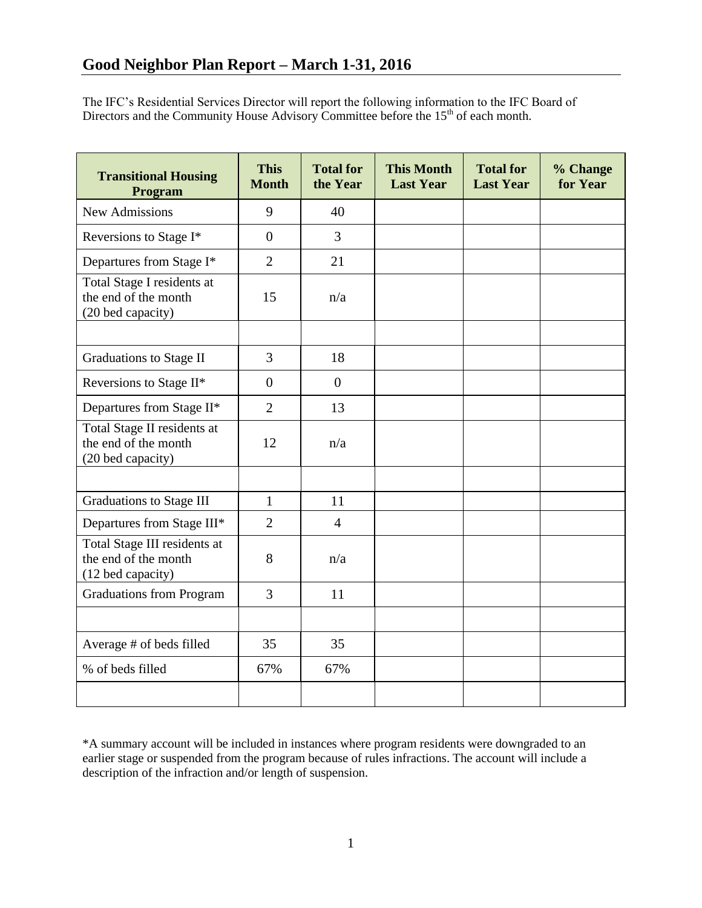The IFC's Residential Services Director will report the following information to the IFC Board of Directors and the Community House Advisory Committee before the  $15<sup>th</sup>$  of each month.

| <b>Transitional Housing</b><br>Program                                    | <b>This</b><br><b>Month</b> | <b>Total for</b><br>the Year | <b>This Month</b><br><b>Last Year</b> | <b>Total for</b><br><b>Last Year</b> | % Change<br>for Year |
|---------------------------------------------------------------------------|-----------------------------|------------------------------|---------------------------------------|--------------------------------------|----------------------|
| <b>New Admissions</b>                                                     | 9                           | 40                           |                                       |                                      |                      |
| Reversions to Stage I*                                                    | $\overline{0}$              | $\overline{3}$               |                                       |                                      |                      |
| Departures from Stage I*                                                  | $\overline{2}$              | 21                           |                                       |                                      |                      |
| Total Stage I residents at<br>the end of the month<br>(20 bed capacity)   | 15                          | n/a                          |                                       |                                      |                      |
|                                                                           |                             |                              |                                       |                                      |                      |
| <b>Graduations to Stage II</b>                                            | 3                           | 18                           |                                       |                                      |                      |
| Reversions to Stage II*                                                   | $\overline{0}$              | $\boldsymbol{0}$             |                                       |                                      |                      |
| Departures from Stage II*                                                 | $\overline{2}$              | 13                           |                                       |                                      |                      |
| Total Stage II residents at<br>the end of the month<br>(20 bed capacity)  | 12                          | n/a                          |                                       |                                      |                      |
|                                                                           |                             |                              |                                       |                                      |                      |
| <b>Graduations to Stage III</b>                                           | $\mathbf{1}$                | 11                           |                                       |                                      |                      |
| Departures from Stage III*                                                | $\overline{2}$              | $\overline{4}$               |                                       |                                      |                      |
| Total Stage III residents at<br>the end of the month<br>(12 bed capacity) | 8                           | n/a                          |                                       |                                      |                      |
| <b>Graduations from Program</b>                                           | 3                           | 11                           |                                       |                                      |                      |
|                                                                           |                             |                              |                                       |                                      |                      |
| Average # of beds filled                                                  | 35                          | 35                           |                                       |                                      |                      |
| % of beds filled                                                          | 67%                         | 67%                          |                                       |                                      |                      |
|                                                                           |                             |                              |                                       |                                      |                      |

\*A summary account will be included in instances where program residents were downgraded to an earlier stage or suspended from the program because of rules infractions. The account will include a description of the infraction and/or length of suspension.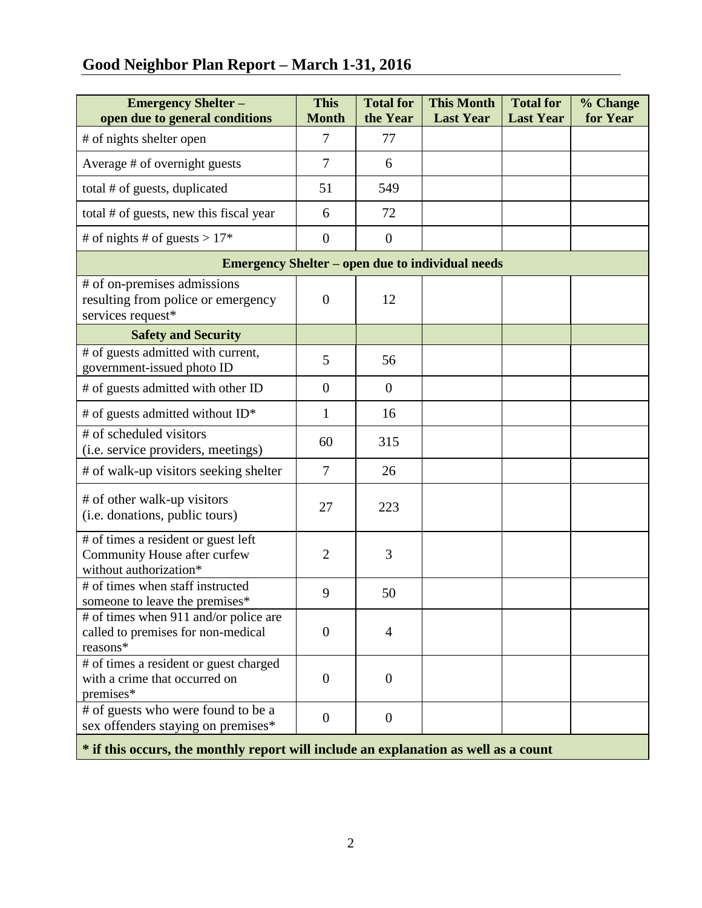# **Good Neighbor Plan Report – March 1-31, 2016**

| <b>Emergency Shelter -</b><br>open due to general conditions                                  | <b>This</b><br><b>Month</b> | <b>Total for</b><br>the Year | <b>This Month</b><br><b>Last Year</b> | <b>Total for</b><br><b>Last Year</b> | % Change<br>for Year |  |  |  |
|-----------------------------------------------------------------------------------------------|-----------------------------|------------------------------|---------------------------------------|--------------------------------------|----------------------|--|--|--|
| # of nights shelter open                                                                      | 7                           | 77                           |                                       |                                      |                      |  |  |  |
| Average # of overnight guests                                                                 | $\overline{7}$              | 6                            |                                       |                                      |                      |  |  |  |
| total # of guests, duplicated                                                                 | 51                          | 549                          |                                       |                                      |                      |  |  |  |
| total # of guests, new this fiscal year                                                       | 6                           | 72                           |                                       |                                      |                      |  |  |  |
| # of nights # of guests > $17*$                                                               | $\overline{0}$              | $\overline{0}$               |                                       |                                      |                      |  |  |  |
| <b>Emergency Shelter – open due to individual needs</b>                                       |                             |                              |                                       |                                      |                      |  |  |  |
| # of on-premises admissions<br>resulting from police or emergency<br>services request*        | $\overline{0}$              | 12                           |                                       |                                      |                      |  |  |  |
| <b>Safety and Security</b>                                                                    |                             |                              |                                       |                                      |                      |  |  |  |
| # of guests admitted with current,<br>government-issued photo ID                              | 5                           | 56                           |                                       |                                      |                      |  |  |  |
| # of guests admitted with other ID                                                            | $\overline{0}$              | $\overline{0}$               |                                       |                                      |                      |  |  |  |
| # of guests admitted without ID*                                                              | $\mathbf{1}$                | 16                           |                                       |                                      |                      |  |  |  |
| # of scheduled visitors<br>(i.e. service providers, meetings)                                 | 60                          | 315                          |                                       |                                      |                      |  |  |  |
| # of walk-up visitors seeking shelter                                                         | $\overline{7}$              | 26                           |                                       |                                      |                      |  |  |  |
| # of other walk-up visitors<br>(i.e. donations, public tours)                                 | 27                          | 223                          |                                       |                                      |                      |  |  |  |
| # of times a resident or guest left<br>Community House after curfew<br>without authorization* | $\overline{2}$              | 3                            |                                       |                                      |                      |  |  |  |
| # of times when staff instructed<br>someone to leave the premises*                            | 9                           | 50                           |                                       |                                      |                      |  |  |  |
| # of times when 911 and/or police are<br>called to premises for non-medical<br>reasons*       | $\overline{0}$              | $\overline{4}$               |                                       |                                      |                      |  |  |  |
| # of times a resident or guest charged<br>with a crime that occurred on<br>premises*          | $\overline{0}$              | $\mathbf{0}$                 |                                       |                                      |                      |  |  |  |
| # of guests who were found to be a<br>sex offenders staying on premises*                      | $\overline{0}$              | $\mathbf{0}$                 |                                       |                                      |                      |  |  |  |
| * if this occurs, the monthly report will include an explanation as well as a count           |                             |                              |                                       |                                      |                      |  |  |  |